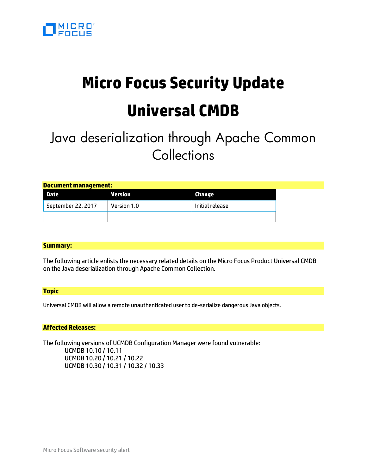

# **Micro Focus Security Update Universal CMDB**

## Java deserialization through Apache Common **Collections**

| <b>Document management:</b> |             |                 |  |
|-----------------------------|-------------|-----------------|--|
| Date                        | Version     | Change          |  |
| September 22, 2017          | Version 1.0 | Initial release |  |
|                             |             |                 |  |

#### **Summary:**

The following article enlists the necessary related details on the Micro Focus Product Universal CMDB on the Java deserialization through Apache Common Collection.

#### **Topic**

Universal CMDB will allow a remote unauthenticated user to de-serialize dangerous Java objects.

#### **Affected Releases:**

The following versions of UCMDB Configuration Manager were found vulnerable: UCMDB 10.10 / 10.11 UCMDB 10.20 / 10.21 / 10.22 UCMDB 10.30 / 10.31 / 10.32 / 10.33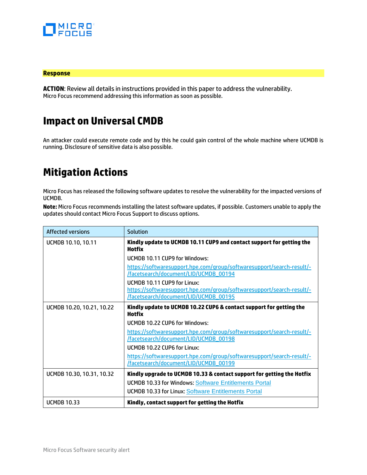

#### **Response**

**ACTION**: Review all details in instructions provided in this paper to address the vulnerability. Micro Focus recommend addressing this information as soon as possible.

## **Impact on Universal CMDB**

An attacker could execute remote code and by this he could gain control of the whole machine where UCMDB is running. Disclosure of sensitive data is also possible.

### **Mitigation Actions**

Micro Focus has released the following software updates to resolve the vulnerability for the impacted versions of UCMDB.

**Note:** Micro Focus recommends installing the latest software updates, if possible. Customers unable to apply the updates should contact Micro Focus Support to discuss options.

| <b>Affected versions</b>  | Solution                                                                                                                                      |  |
|---------------------------|-----------------------------------------------------------------------------------------------------------------------------------------------|--|
| UCMDB 10.10, 10.11        | Kindly update to UCMDB 10.11 CUP9 and contact support for getting the<br>Hotfix                                                               |  |
|                           | UCMDB 10.11 CUP9 for Windows:                                                                                                                 |  |
|                           | https://softwaresupport.hpe.com/group/softwaresupport/search-result/-<br>/facetsearch/document/LID/UCMDB_00194                                |  |
|                           | UCMDB 10.11 CUP9 for Linux:<br>https://softwaresupport.hpe.com/group/softwaresupport/search-result/-<br>/facetsearch/document/LID/UCMDB_00195 |  |
| UCMDB 10.20, 10.21, 10.22 | Kindly update to UCMDB 10.22 CUP6 & contact support for getting the<br>Hotfix                                                                 |  |
|                           | UCMDB 10.22 CUP6 for Windows:                                                                                                                 |  |
|                           | https://softwaresupport.hpe.com/group/softwaresupport/search-result/-<br>/facetsearch/document/LID/UCMDB_00198                                |  |
|                           | UCMDB 10.22 CUP6 for Linux:                                                                                                                   |  |
|                           | https://softwaresupport.hpe.com/group/softwaresupport/search-result/-<br>/facetsearch/document/LID/UCMDB_00199                                |  |
| UCMDB 10.30, 10.31, 10.32 | Kindly upgrade to UCMDB 10.33 & contact support for getting the Hotfix                                                                        |  |
|                           | <b>UCMDB 10.33 for Windows: Software Entitlements Portal</b>                                                                                  |  |
|                           | <b>UCMDB 10.33 for Linux: Software Entitlements Portal</b>                                                                                    |  |
| <b>UCMDB 10.33</b>        | Kindly, contact support for getting the Hotfix                                                                                                |  |